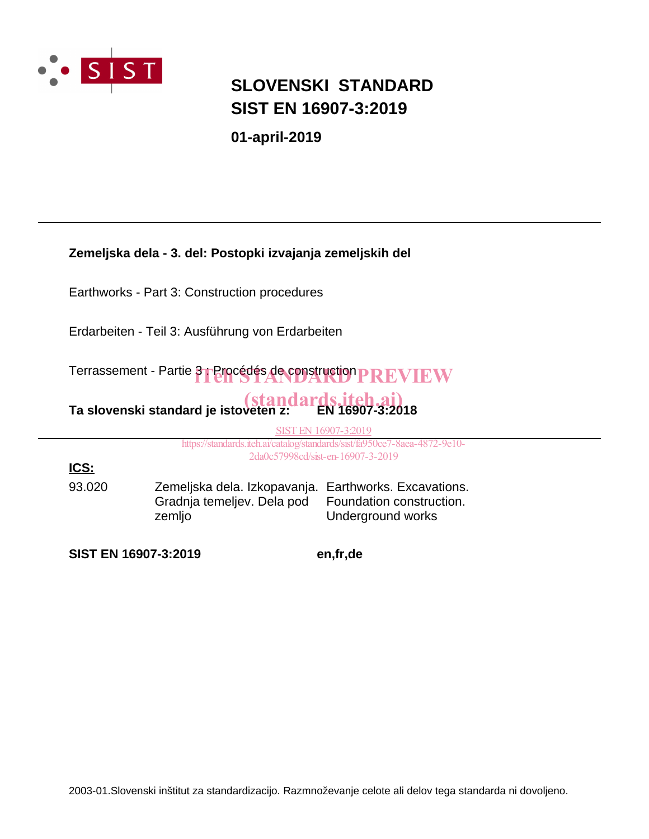

### **SIST EN 16907-3:2019 SLOVENSKI STANDARD**

**01-april-2019**

**Zemeljska dela - 3. del: Postopki izvajanja zemeljskih del**

Earthworks - Part 3: Construction procedures

Erdarbeiten - Teil 3: Ausführung von Erdarbeiten

Terrassement - Partie 3 : Procédés de construction **PREVIEW** 

# <mark>(standards.iteh.ai)</mark><br>Ta slovenski standard je istoveten z: EN 16907-3:2018

SIST EN 16907-3:2019

https://standards.iteh.ai/catalog/standards/sist/fa950ce7-8aea-4872-9e10- 2da0c57998cd/sist-en-16907-3-2019

**ICS:**

93.020 Zemeljska dela. Izkopavanja. Earthworks. Excavations. Gradnja temeljev. Dela pod zemljo Foundation construction. Underground works

**SIST EN 16907-3:2019 en,fr,de**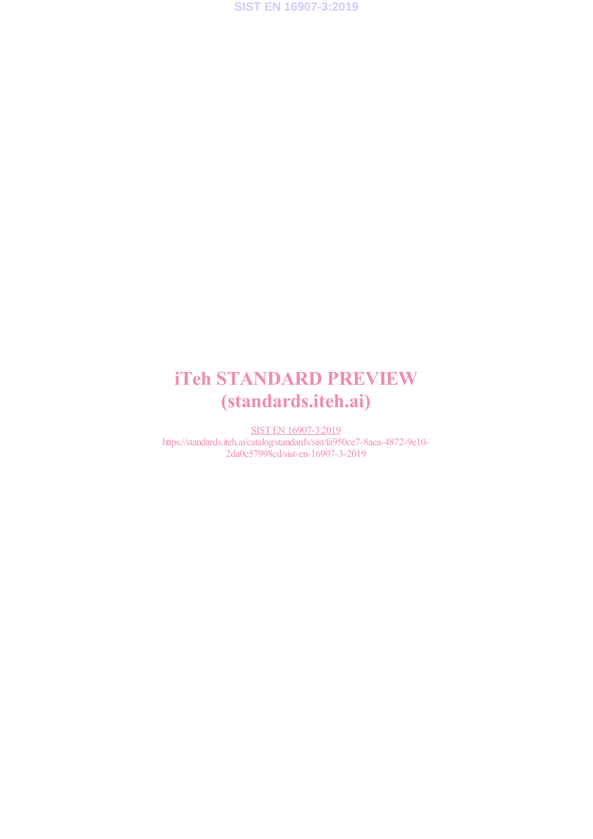**SIST EN 16907-3:2019**

## iTeh STANDARD PREVIEW (standards.iteh.ai)

SIST EN 16907-3:2019 https://standards.iteh.ai/catalog/standards/sist/fa950ce7-8aea-4872-9e10- 2da0c57998cd/sist-en-16907-3-2019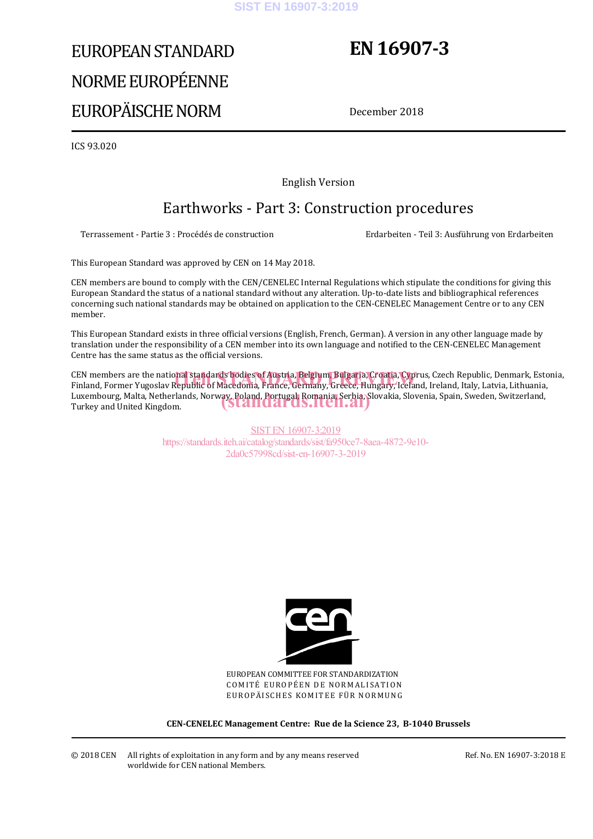#### **SIST EN 16907-3:2019**

# EUROPEAN STANDARD NORME EUROPÉENNE EUROPÄISCHE NORM

## **EN 16907-3**

December 2018

ICS 93.020

English Version

### Earthworks - Part 3: Construction procedures

Terrassement - Partie 3 : Procédés de construction Erdarbeiten - Teil 3: Ausführung von Erdarbeiten

This European Standard was approved by CEN on 14 May 2018.

CEN members are bound to comply with the CEN/CENELEC Internal Regulations which stipulate the conditions for giving this European Standard the status of a national standard without any alteration. Up-to-date lists and bibliographical references concerning such national standards may be obtained on application to the CEN-CENELEC Management Centre or to any CEN member.

This European Standard exists in three official versions (English, French, German). A version in any other language made by translation under the responsibility of a CEN member into its own language and notified to the CEN-CENELEC Management Centre has the same status as the official versions.

CEN members are the national standards bodies of Austria, Belgium, Bulgaria, Croatia, Cyprus, Czech Republic, Denmark, Estonia,<br>Finland, Former Yugoslav Republic of Macedonia, France, Germany, Greece, Hungary, Iceland, Ire Finland, Former Yugoslav Republic of Macedonia, France, Germany, Greece, Hungary, Iceland, Ireland, Italy, Latvia, Lithuania, Luxembourg, Malta, Netherlands, Norway, Poland, Portugal, Romania, Serbia, Slovakia, Slovenia, Spain, Sweden, Switzerland,<br>Turkey and United Kingdom. Turkey and United Kingdom.

> SIST EN 16907-3:2019 https://standards.iteh.ai/catalog/standards/sist/fa950ce7-8aea-4872-9e10- 2da0c57998cd/sist-en-16907-3-2019



EUROPEAN COMMITTEE FOR STANDARDIZATION COMITÉ EUROPÉEN DE NORMALISATION EUROPÄISCHES KOMITEE FÜR NORMUNG

**CEN-CENELEC Management Centre: Rue de la Science 23, B-1040 Brussels** 

Ref. No. EN 16907-3:2018 E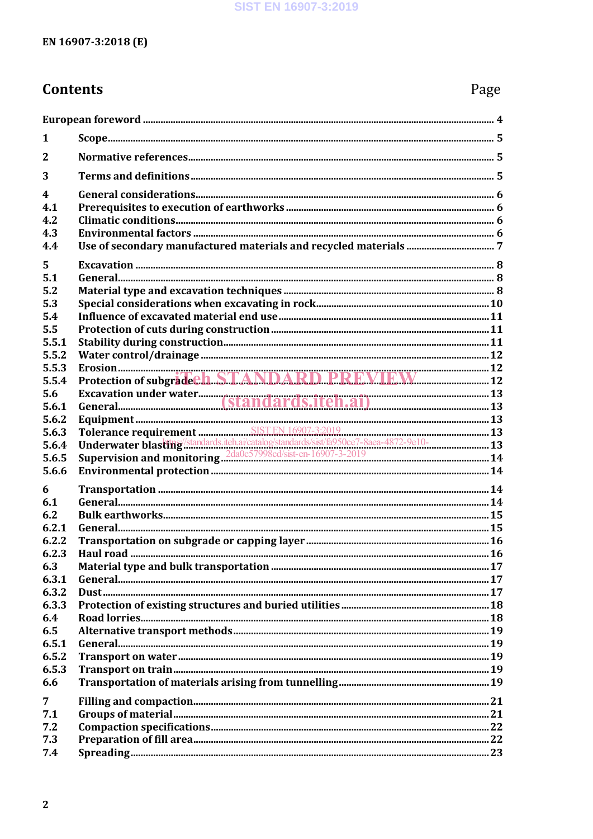### **Contents**

| 1                       |                                                                                       |  |  |  |
|-------------------------|---------------------------------------------------------------------------------------|--|--|--|
| $\overline{2}$          |                                                                                       |  |  |  |
| 3                       |                                                                                       |  |  |  |
| $\overline{\mathbf{4}}$ |                                                                                       |  |  |  |
| 4.1                     |                                                                                       |  |  |  |
| 4.2<br>4.3              |                                                                                       |  |  |  |
| 4.4                     |                                                                                       |  |  |  |
| 5                       |                                                                                       |  |  |  |
| 5.1                     |                                                                                       |  |  |  |
| 5.2                     |                                                                                       |  |  |  |
| 5.3                     |                                                                                       |  |  |  |
| 5.4                     |                                                                                       |  |  |  |
| 5.5                     |                                                                                       |  |  |  |
| 5.5.1                   |                                                                                       |  |  |  |
| 5.5.2                   |                                                                                       |  |  |  |
| 5.5.3                   |                                                                                       |  |  |  |
| 5.5.4                   |                                                                                       |  |  |  |
| 5.6                     |                                                                                       |  |  |  |
| 5.6.1                   |                                                                                       |  |  |  |
| 5.6.2<br>5.6.3          |                                                                                       |  |  |  |
| 5.6.4                   | Underwater blasting/standards.iteh.ai/catalog/standards/sist/fa950ce7-8aea-4872-9e10- |  |  |  |
| 5.6.5                   |                                                                                       |  |  |  |
| 5.6.6                   |                                                                                       |  |  |  |
|                         |                                                                                       |  |  |  |
| 6<br>6.1                |                                                                                       |  |  |  |
| 6.2                     |                                                                                       |  |  |  |
| 6.2.1                   |                                                                                       |  |  |  |
| 6.2.2                   |                                                                                       |  |  |  |
| 6.2.3                   |                                                                                       |  |  |  |
| 6.3                     |                                                                                       |  |  |  |
| 6.3.1                   |                                                                                       |  |  |  |
| 6.3.2                   |                                                                                       |  |  |  |
| 6.3.3                   |                                                                                       |  |  |  |
| 6.4                     |                                                                                       |  |  |  |
| 6.5                     |                                                                                       |  |  |  |
| 6.5.1                   |                                                                                       |  |  |  |
| 6.5.2                   |                                                                                       |  |  |  |
| 6.5.3                   |                                                                                       |  |  |  |
| 6.6                     |                                                                                       |  |  |  |
| $\overline{7}$          |                                                                                       |  |  |  |
| 7.1                     |                                                                                       |  |  |  |
| 7.2                     |                                                                                       |  |  |  |
| 7.3                     |                                                                                       |  |  |  |
| 7.4                     |                                                                                       |  |  |  |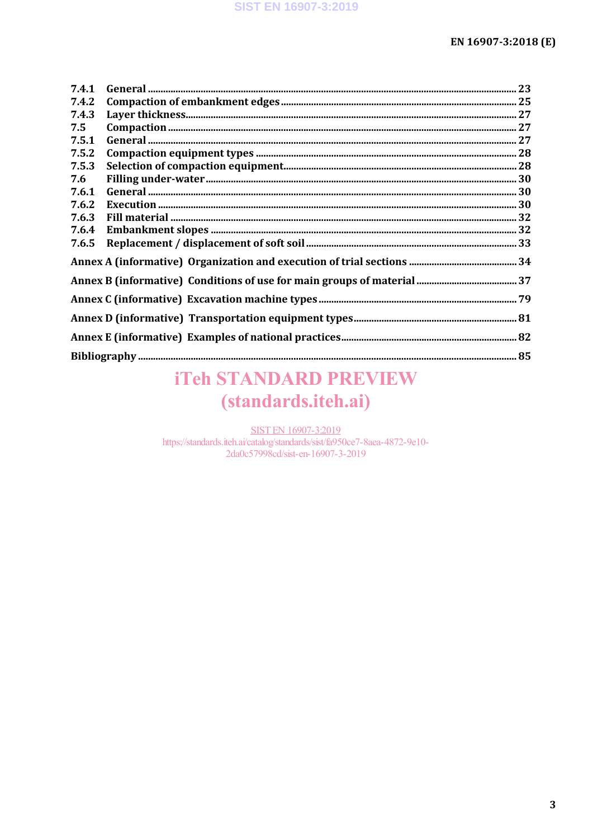| 7.4.1 |  |  |  |
|-------|--|--|--|
| 7.4.2 |  |  |  |
| 7.4.3 |  |  |  |
| 7.5   |  |  |  |
| 7.5.1 |  |  |  |
| 7.5.2 |  |  |  |
| 7.5.3 |  |  |  |
| 7.6   |  |  |  |
| 7.6.1 |  |  |  |
| 7.6.2 |  |  |  |
| 7.6.3 |  |  |  |
| 7.6.4 |  |  |  |
| 7.6.5 |  |  |  |
|       |  |  |  |
|       |  |  |  |
|       |  |  |  |
|       |  |  |  |
|       |  |  |  |
|       |  |  |  |

## **iTeh STANDARD PREVIEW** (standards.iteh.ai)

**SIST EN 16907-3:2019** https://standards.iteh.ai/catalog/standards/sist/fa950ce7-8aea-4872-9e10-2da0c57998cd/sist-en-16907-3-2019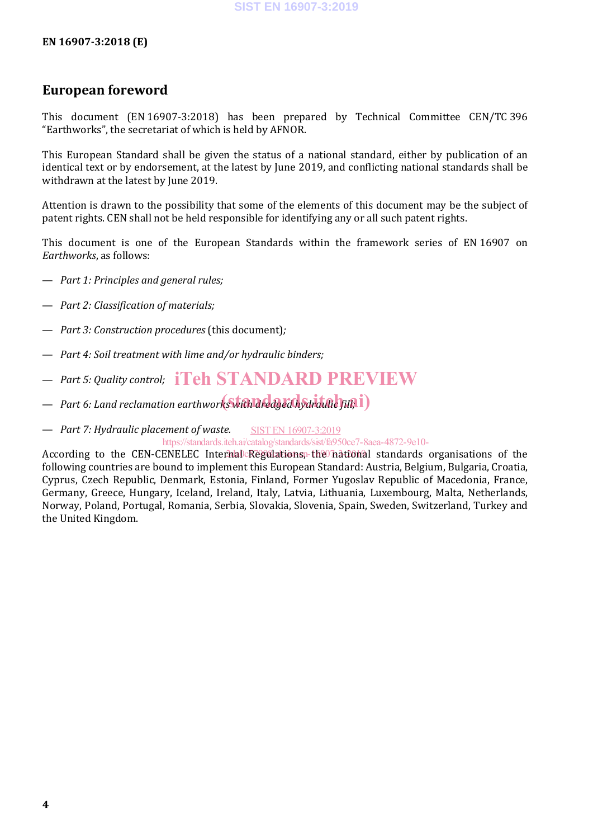#### **EN 16907-3:2018 (E)**

#### **European foreword**

This document (EN 16907-3:2018) has been prepared by Technical Committee CEN/TC 396 "Earthworks", the secretariat of which is held by AFNOR.

This European Standard shall be given the status of a national standard, either by publication of an identical text or by endorsement, at the latest by June 2019, and conflicting national standards shall be withdrawn at the latest by June 2019.

Attention is drawn to the possibility that some of the elements of this document may be the subject of patent rights. CEN shall not be held responsible for identifying any or all such patent rights.

This document is one of the European Standards within the framework series of EN 16907 on *Earthworks*, as follows:

- *Part 1: Principles and general rules;*
- *Part 2: Classification of materials;*
- *Part 3: Construction procedures* (this document)*;*
- *Part 4: Soil treatment with lime and/or hydraulic binders;*
- *Part 5: Quality control;* iTeh STANDARD PREVIEW
- Part 6: Land reclamation earthwork**swith dredged hydraulic fill; i**)
- *Part 7: Hydraulic placement of waste.* SIST EN 16907-3:2019

https://standards.iteh.ai/catalog/standards/sist/fa950ce7-8aea-4872-9e10-

According to the CEN-CENELEC Internal Regulations, the national standards organisations of the following countries are bound to implement this European Standard: Austria, Belgium, Bulgaria, Croatia, Cyprus, Czech Republic, Denmark, Estonia, Finland, Former Yugoslav Republic of Macedonia, France, Germany, Greece, Hungary, Iceland, Ireland, Italy, Latvia, Lithuania, Luxembourg, Malta, Netherlands, Norway, Poland, Portugal, Romania, Serbia, Slovakia, Slovenia, Spain, Sweden, Switzerland, Turkey and the United Kingdom.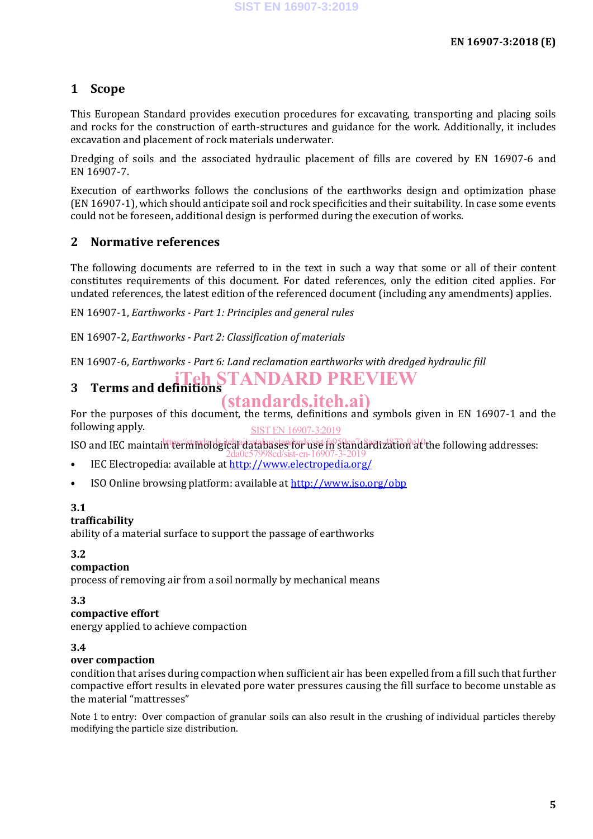#### **1 Scope**

This European Standard provides execution procedures for excavating, transporting and placing soils and rocks for the construction of earth-structures and guidance for the work. Additionally, it includes excavation and placement of rock materials underwater.

Dredging of soils and the associated hydraulic placement of fills are covered by EN 16907-6 and EN 16907-7.

Execution of earthworks follows the conclusions of the earthworks design and optimization phase (EN 16907-1), which should anticipate soil and rock specificities and their suitability. In case some events could not be foreseen, additional design is performed during the execution of works.

#### **2 Normative references**

The following documents are referred to in the text in such a way that some or all of their content constitutes requirements of this document. For dated references, only the edition cited applies. For undated references, the latest edition of the referenced document (including any amendments) applies.

EN 16907-1, *Earthworks - Part 1: Principles and general rules*

EN 16907-2, *Earthworks - Part 2: Classification of materials*

EN 16907-6, *Earthworks - Part 6: Land reclamation earthworks with dredged hydraulic fill*

#### **3 Terms and definitions STANDARD PREVIEW**

### (standards.iteh.ai)

For the purposes of this document, the terms, definitions and symbols given in EN 16907-1 and the following apply. SIST EN 16907-3:2019

ISO and IEC maintain terminologican itatabases for vise/fi95tan7aardization at the following addresses:

- IEC Electropedia: available at http://www.electropedia.org/ 2da0c57998cd/sist-en-16907-3-2019
- ISO Online browsing platform: available at http://www.iso.org/obp

#### **3.1**

#### **trafficability**

ability of a material surface to support the passage of earthworks

#### **3.2**

#### **compaction**

process of removing air from a soil normally by mechanical means

**3.3**

#### **compactive effort**

energy applied to achieve compaction

#### **3.4**

#### **over compaction**

condition that arises during compaction when sufficient air has been expelled from a fill such that further compactive effort results in elevated pore water pressures causing the fill surface to become unstable as the material "mattresses"

Note 1 to entry: Over compaction of granular soils can also result in the crushing of individual particles thereby modifying the particle size distribution.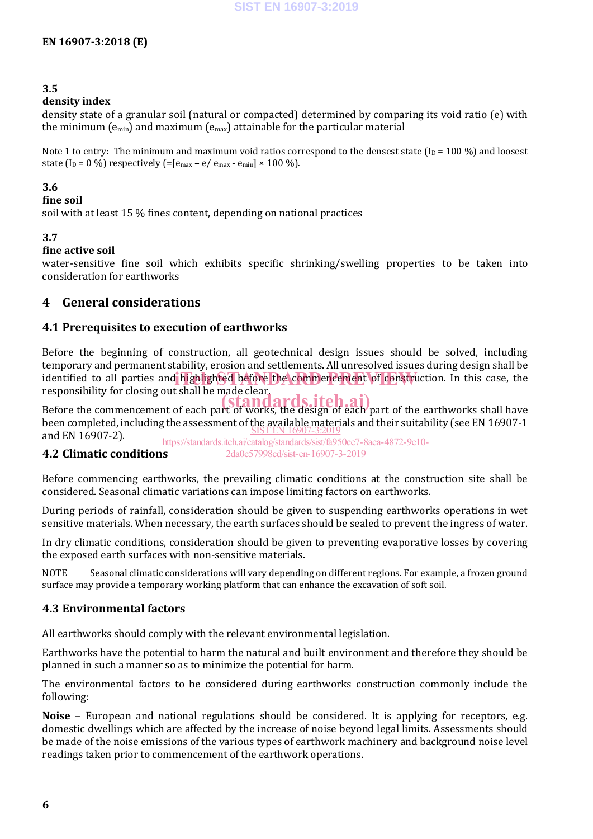#### **3.5**

#### **density index**

density state of a granular soil (natural or compacted) determined by comparing its void ratio (e) with the minimum ( $e_{min}$ ) and maximum ( $e_{max}$ ) attainable for the particular material

Note 1 to entry: The minimum and maximum void ratios correspond to the densest state  $(I_D = 100\%)$  and loosest state (I<sub>D</sub> = 0 %) respectively (=[ $e_{max} - e/e_{max} - e_{min}$ ] × 100 %).

#### **3.6**

#### **fine soil**

soil with at least 15 % fines content, depending on national practices

#### **3.7**

#### **fine active soil**

water-sensitive fine soil which exhibits specific shrinking/swelling properties to be taken into consideration for earthworks

#### **4 General considerations**

#### **4.1 Prerequisites to execution of earthworks**

Before the beginning of construction, all geotechnical design issues should be solved, including temporary and permanent stability, erosion and settlements. All unresolved issues during design shall be identified to all parties and highlighted before the commencement of construction. In this case, the responsibility for closing out shall be made clear.

responsibility for closing out shall be made clear.<br>Before the commencement of each part of works, the design of each part of the earthworks shall have been completed, including the assessment of the available materials and their suitability (see EN 16907-1 SIST EN 16907-3:2019 and EN 16907-2).

**4.2 Climatic conditions** https://standards.iteh.ai/catalog/standards/sist/fa950ce7-8aea-4872-9e10- 2da0c57998cd/sist-en-16907-3-2019

## Before commencing earthworks, the prevailing climatic conditions at the construction site shall be

considered. Seasonal climatic variations can impose limiting factors on earthworks. During periods of rainfall, consideration should be given to suspending earthworks operations in wet

sensitive materials. When necessary, the earth surfaces should be sealed to prevent the ingress of water.

In dry climatic conditions, consideration should be given to preventing evaporative losses by covering the exposed earth surfaces with non-sensitive materials.

NOTE Seasonal climatic considerations will vary depending on different regions. For example, a frozen ground surface may provide a temporary working platform that can enhance the excavation of soft soil.

#### **4.3 Environmental factors**

All earthworks should comply with the relevant environmental legislation.

Earthworks have the potential to harm the natural and built environment and therefore they should be planned in such a manner so as to minimize the potential for harm.

The environmental factors to be considered during earthworks construction commonly include the following:

**Noise** – European and national regulations should be considered. It is applying for receptors, e.g. domestic dwellings which are affected by the increase of noise beyond legal limits. Assessments should be made of the noise emissions of the various types of earthwork machinery and background noise level readings taken prior to commencement of the earthwork operations.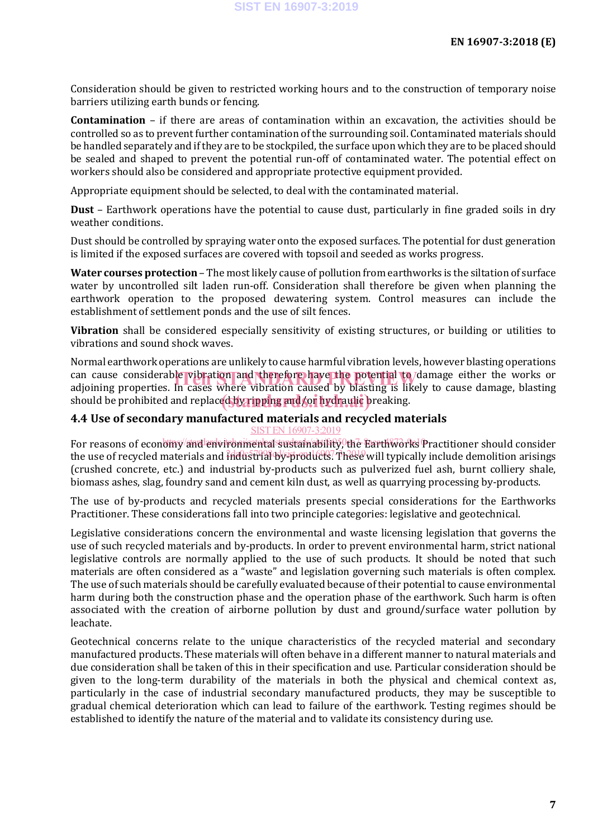Consideration should be given to restricted working hours and to the construction of temporary noise barriers utilizing earth bunds or fencing.

**Contamination** – if there are areas of contamination within an excavation, the activities should be controlled so as to prevent further contamination of the surrounding soil. Contaminated materials should be handled separately and if they are to be stockpiled, the surface upon which they are to be placed should be sealed and shaped to prevent the potential run-off of contaminated water. The potential effect on workers should also be considered and appropriate protective equipment provided.

Appropriate equipment should be selected, to deal with the contaminated material.

**Dust** – Earthwork operations have the potential to cause dust, particularly in fine graded soils in dry weather conditions.

Dust should be controlled by spraying water onto the exposed surfaces. The potential for dust generation is limited if the exposed surfaces are covered with topsoil and seeded as works progress.

**Water courses protection** – The most likely cause of pollution from earthworks is the siltation of surface water by uncontrolled silt laden run-off. Consideration shall therefore be given when planning the earthwork operation to the proposed dewatering system. Control measures can include the establishment of settlement ponds and the use of silt fences.

**Vibration** shall be considered especially sensitivity of existing structures, or building or utilities to vibrations and sound shock waves.

Normal earthwork operations are unlikely to cause harmful vibration levels, however blasting operations can cause considerable vibration and therefore have the potential to damage either the works or<br>adioining properties. In cases where vibration caused by blasting is likely to cause damage, blasting adjoining properties. In cases where vibration caused by blasting is likely to cause damage, blasting should be prohibited and replaced by ripping and for hydraulic preaking.

#### **4.4 Use of secondary manufactured materials and recycled materials** SIST EN 16907-3:201

For reasons of economy/and environmental sustainability, the Earthworks Practitioner should consider the use of recycled materials and <del>industrial by products</del>. These will typically include demolition arisings (crushed concrete, etc.) and industrial by-products such as pulverized fuel ash, burnt colliery shale, biomass ashes, slag, foundry sand and cement kiln dust, as well as quarrying processing by-products.

The use of by-products and recycled materials presents special considerations for the Earthworks Practitioner. These considerations fall into two principle categories: legislative and geotechnical.

Legislative considerations concern the environmental and waste licensing legislation that governs the use of such recycled materials and by-products. In order to prevent environmental harm, strict national legislative controls are normally applied to the use of such products. It should be noted that such materials are often considered as a "waste" and legislation governing such materials is often complex. The use of such materials should be carefully evaluated because of their potential to cause environmental harm during both the construction phase and the operation phase of the earthwork. Such harm is often associated with the creation of airborne pollution by dust and ground/surface water pollution by leachate.

Geotechnical concerns relate to the unique characteristics of the recycled material and secondary manufactured products. These materials will often behave in a different manner to natural materials and due consideration shall be taken of this in their specification and use. Particular consideration should be given to the long-term durability of the materials in both the physical and chemical context as, particularly in the case of industrial secondary manufactured products, they may be susceptible to gradual chemical deterioration which can lead to failure of the earthwork. Testing regimes should be established to identify the nature of the material and to validate its consistency during use.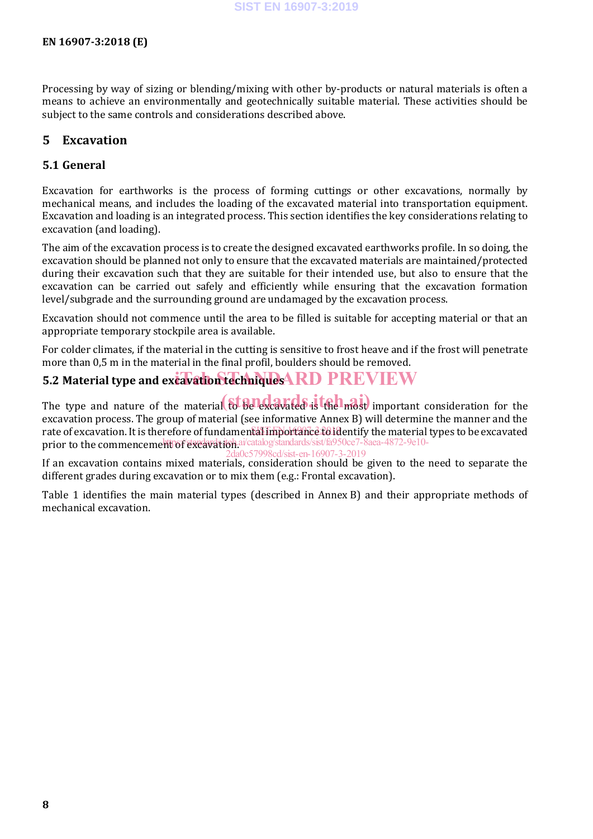Processing by way of sizing or blending/mixing with other by-products or natural materials is often a means to achieve an environmentally and geotechnically suitable material. These activities should be subject to the same controls and considerations described above.

#### **5 Excavation**

#### **5.1 General**

Excavation for earthworks is the process of forming cuttings or other excavations, normally by mechanical means, and includes the loading of the excavated material into transportation equipment. Excavation and loading is an integrated process. This section identifies the key considerations relating to excavation (and loading).

The aim of the excavation process is to create the designed excavated earthworks profile. In so doing, the excavation should be planned not only to ensure that the excavated materials are maintained/protected during their excavation such that they are suitable for their intended use, but also to ensure that the excavation can be carried out safely and efficiently while ensuring that the excavation formation level/subgrade and the surrounding ground are undamaged by the excavation process.

Excavation should not commence until the area to be filled is suitable for accepting material or that an appropriate temporary stockpile area is available.

For colder climates, if the material in the cutting is sensitive to frost heave and if the frost will penetrate more than 0,5 m in the material in the final profil, boulders should be removed.

### 5.2 Material type and excavation techniques **ARD PREVIEW**

The type and nature of the material to be excavated is the most important consideration for the excavation process. The group of material (see informative Annex B) will determine the manner and the rate of excavation. It is therefore of fundamental importance to identify the material types to be excavated prior to the commencement of excavation ai/catalog/standards/sist/fa950ce7-8aea-4872-9e10-2da0c57998cd/sist-en-16907-3-2019

If an excavation contains mixed materials, consideration should be given to the need to separate the different grades during excavation or to mix them (e.g.: Frontal excavation).

Table 1 identifies the main material types (described in Annex B) and their appropriate methods of mechanical excavation.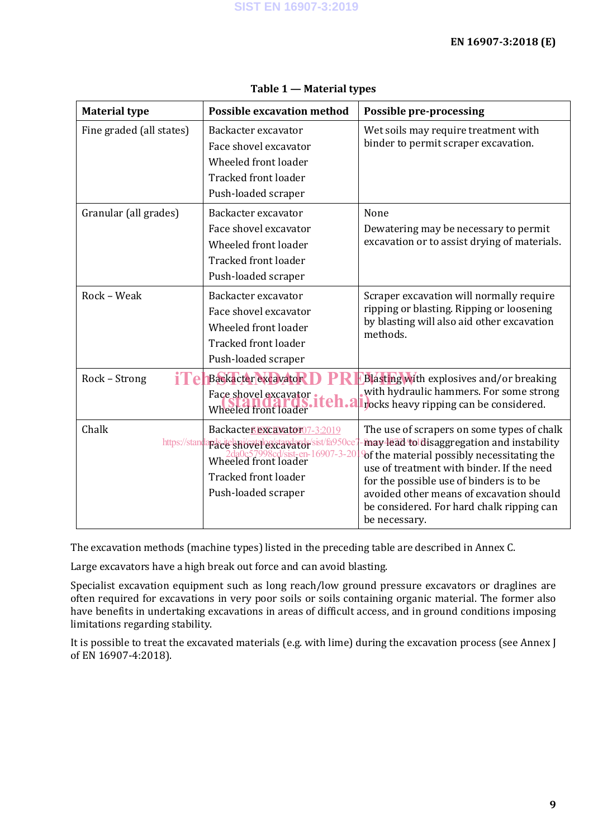| <b>Material type</b>     | <b>Possible excavation method</b>                                                                                                                                               | <b>Possible pre-processing</b>                                                                                                                                                                                                                                                                                                            |
|--------------------------|---------------------------------------------------------------------------------------------------------------------------------------------------------------------------------|-------------------------------------------------------------------------------------------------------------------------------------------------------------------------------------------------------------------------------------------------------------------------------------------------------------------------------------------|
| Fine graded (all states) | Backacter excavator<br>Face shovel excavator<br>Wheeled front loader<br><b>Tracked front loader</b><br>Push-loaded scraper                                                      | Wet soils may require treatment with<br>binder to permit scraper excavation.                                                                                                                                                                                                                                                              |
| Granular (all grades)    | Backacter excavator<br>Face shovel excavator<br>Wheeled front loader<br>Tracked front loader<br>Push-loaded scraper                                                             | None<br>Dewatering may be necessary to permit<br>excavation or to assist drying of materials.                                                                                                                                                                                                                                             |
| Rock - Weak              | Backacter excavator<br>Face shovel excavator<br>Wheeled front loader<br><b>Tracked front loader</b><br>Push-loaded scraper                                                      | Scraper excavation will normally require<br>ripping or blasting. Ripping or loosening<br>by blasting will also aid other excavation<br>methods.                                                                                                                                                                                           |
| Rock - Strong<br>i Fe    | <b>Backacter</b> excavator<br>Face shovel excavator<br>eh.a<br>Wheeled front loader                                                                                             | Blasting with explosives and/or breaking<br>with hydraulic hammers. For some strong<br>rocks heavy ripping can be considered.                                                                                                                                                                                                             |
| Chalk<br>https://stand   | Backacter excavator07-3:2019<br>aracte showel excavator sist/fa950ce?<br>2da0c57998cd/sist-en-16907-3-20<br>Wheeled front loader<br>Tracked front loader<br>Push-loaded scraper | The use of scrapers on some types of chalk<br>may lead to disaggregation and instability<br>of the material possibly necessitating the<br>use of treatment with binder. If the need<br>for the possible use of binders is to be<br>avoided other means of excavation should<br>be considered. For hard chalk ripping can<br>be necessary. |

#### **Table 1 — Material types**

The excavation methods (machine types) listed in the preceding table are described in Annex C.

Large excavators have a high break out force and can avoid blasting.

Specialist excavation equipment such as long reach/low ground pressure excavators or draglines are often required for excavations in very poor soils or soils containing organic material. The former also have benefits in undertaking excavations in areas of difficult access, and in ground conditions imposing limitations regarding stability.

It is possible to treat the excavated materials (e.g. with lime) during the excavation process (see Annex J of EN 16907-4:2018).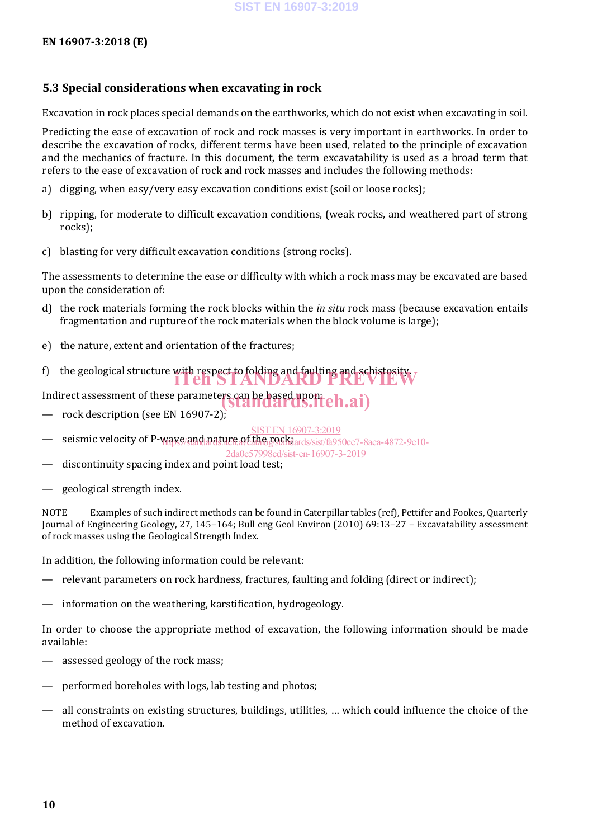#### **5.3 Special considerations when excavating in rock**

Excavation in rock places special demands on the earthworks, which do not exist when excavating in soil.

Predicting the ease of excavation of rock and rock masses is very important in earthworks. In order to describe the excavation of rocks, different terms have been used, related to the principle of excavation and the mechanics of fracture. In this document, the term excavatability is used as a broad term that refers to the ease of excavation of rock and rock masses and includes the following methods:

- a) digging, when easy/very easy excavation conditions exist (soil or loose rocks);
- b) ripping, for moderate to difficult excavation conditions, (weak rocks, and weathered part of strong rocks);
- c) blasting for very difficult excavation conditions (strong rocks).

The assessments to determine the ease or difficulty with which a rock mass may be excavated are based upon the consideration of:

- d) the rock materials forming the rock blocks within the *in situ* rock mass (because excavation entails fragmentation and rupture of the rock materials when the block volume is large);
- e) the nature, extent and orientation of the fractures;
- f) the geological structure with respect to folding and faulting and schistosity.

Indirect assessment of these parameters can be based upont ch.ai)

- rock description (see EN 16907-2);
- SIST EN 16907-3:2019
- seismic velocity of P-waye/and nature of the rockhards/sist/fa950ce7-8aea-4872-9e10-

2da0c57998cd/sist-en-16907-3-2019

- discontinuity spacing index and point load test;
- geological strength index.

NOTE Examples of such indirect methods can be found in Caterpillar tables (ref), Pettifer and Fookes, Quarterly Journal of Engineering Geology, 27, 145–164; Bull eng Geol Environ (2010) 69:13–27 – Excavatability assessment of rock masses using the Geological Strength Index.

In addition, the following information could be relevant:

- relevant parameters on rock hardness, fractures, faulting and folding (direct or indirect);
- information on the weathering, karstification, hydrogeology.

In order to choose the appropriate method of excavation, the following information should be made available:

- assessed geology of the rock mass;
- performed boreholes with logs, lab testing and photos;
- all constraints on existing structures, buildings, utilities, … which could influence the choice of the method of excavation.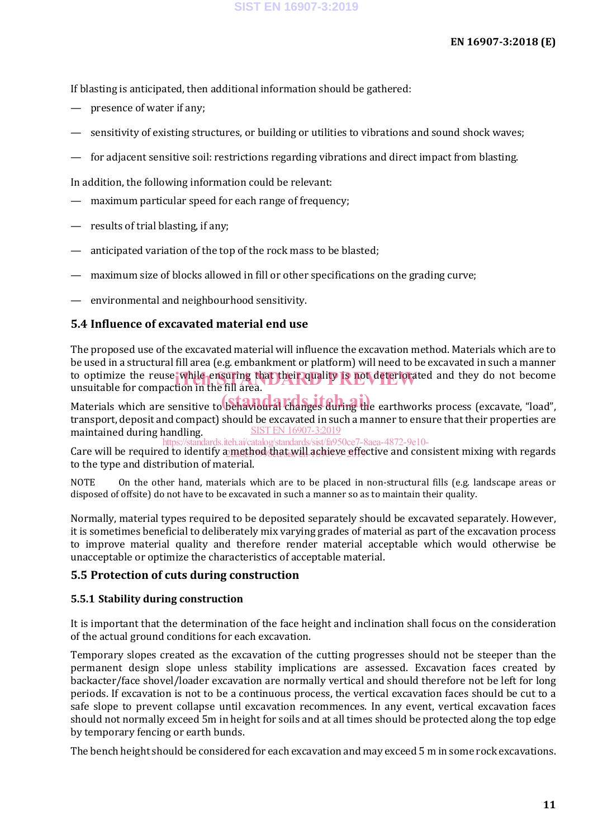If blasting is anticipated, then additional information should be gathered:

- presence of water if any;
- sensitivity of existing structures, or building or utilities to vibrations and sound shock waves;
- for adjacent sensitive soil: restrictions regarding vibrations and direct impact from blasting.

In addition, the following information could be relevant:

- maximum particular speed for each range of frequency;
- results of trial blasting, if any;
- anticipated variation of the top of the rock mass to be blasted;
- maximum size of blocks allowed in fill or other specifications on the grading curve;
- environmental and neighbourhood sensitivity.

#### **5.4 Influence of excavated material end use**

The proposed use of the excavated material will influence the excavation method. Materials which are to be used in a structural fill area (e.g. embankment or platform) will need to be excavated in such a manner to optimize the reuse while ensuring that their quality is not deteriorated and they do not become<br>unsuitable for compaction in the fill area unsuitable for compaction in the fill area.

ansurasse to compactor in the monetal changes during the earthworks process (excavate, "load", transport, deposit and compact) should be excavated in such a manner to ensure that their properties are maintained during handling. SIST EN 16907-3:2019

Care will be required to identify a method that will achieve effective and consistent mixing with regards to the type and distribution of material. https://standards.iteh.ai/catalog/standards/sist/fa950ce7-8aea-4872-9e10-

NOTE On the other hand, materials which are to be placed in non-structural fills (e.g. landscape areas or disposed of offsite) do not have to be excavated in such a manner so as to maintain their quality.

Normally, material types required to be deposited separately should be excavated separately. However, it is sometimes beneficial to deliberately mix varying grades of material as part of the excavation process to improve material quality and therefore render material acceptable which would otherwise be unacceptable or optimize the characteristics of acceptable material.

#### **5.5 Protection of cuts during construction**

#### **5.5.1 Stability during construction**

It is important that the determination of the face height and inclination shall focus on the consideration of the actual ground conditions for each excavation.

Temporary slopes created as the excavation of the cutting progresses should not be steeper than the permanent design slope unless stability implications are assessed. Excavation faces created by backacter/face shovel/loader excavation are normally vertical and should therefore not be left for long periods. If excavation is not to be a continuous process, the vertical excavation faces should be cut to a safe slope to prevent collapse until excavation recommences. In any event, vertical excavation faces should not normally exceed 5m in height for soils and at all times should be protected along the top edge by temporary fencing or earth bunds.

The bench height should be considered for each excavation and may exceed 5 m in some rock excavations.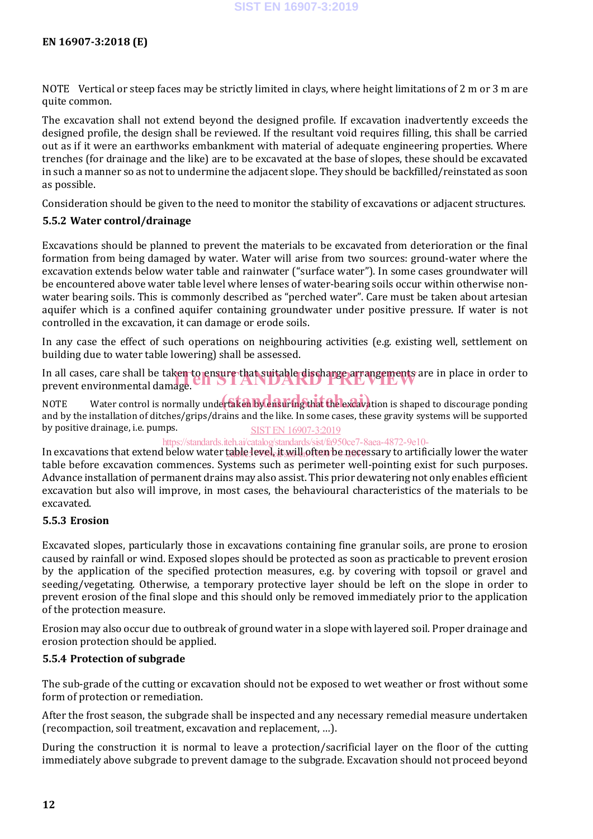NOTE Vertical or steep faces may be strictly limited in clays, where height limitations of 2 m or 3 m are quite common.

The excavation shall not extend beyond the designed profile. If excavation inadvertently exceeds the designed profile, the design shall be reviewed. If the resultant void requires filling, this shall be carried out as if it were an earthworks embankment with material of adequate engineering properties. Where trenches (for drainage and the like) are to be excavated at the base of slopes, these should be excavated in such a manner so as not to undermine the adjacent slope. They should be backfilled/reinstated as soon as possible.

Consideration should be given to the need to monitor the stability of excavations or adjacent structures.

#### **5.5.2 Water control/drainage**

Excavations should be planned to prevent the materials to be excavated from deterioration or the final formation from being damaged by water. Water will arise from two sources: ground-water where the excavation extends below water table and rainwater ("surface water"). In some cases groundwater will be encountered above water table level where lenses of water-bearing soils occur within otherwise nonwater bearing soils. This is commonly described as "perched water". Care must be taken about artesian aquifer which is a confined aquifer containing groundwater under positive pressure. If water is not controlled in the excavation, it can damage or erode soils.

In any case the effect of such operations on neighbouring activities (e.g. existing well, settlement on building due to water table lowering) shall be assessed.

In all cases, care shall be taken to ensure that suitable discharge arrangements are in place in order to prevent environmental damage. prevent environmental damage.

.<br>NOTE Water control is normally undertaken by ensuring that the excavation is shaped to discourage ponding and by the installation of ditches/grips/drains and the like. In some cases, these gravity systems will be supported by positive drainage, i.e. pumps. SIST EN 16907-3:2019

#### https://standards.iteh.ai/catalog/standards/sist/fa950ce7-8aea-4872-9e10-

In excavations that extend below water <u>table level, it will often be nece</u>ssary to artificially lower the water table before excavation commences. Systems such as perimeter well-pointing exist for such purposes. Advance installation of permanent drains may also assist. This prior dewatering not only enables efficient excavation but also will improve, in most cases, the behavioural characteristics of the materials to be excavated.

#### **5.5.3 Erosion**

Excavated slopes, particularly those in excavations containing fine granular soils, are prone to erosion caused by rainfall or wind. Exposed slopes should be protected as soon as practicable to prevent erosion by the application of the specified protection measures, e.g. by covering with topsoil or gravel and seeding/vegetating. Otherwise, a temporary protective layer should be left on the slope in order to prevent erosion of the final slope and this should only be removed immediately prior to the application of the protection measure.

Erosion may also occur due to outbreak of ground water in a slope with layered soil. Proper drainage and erosion protection should be applied.

#### **5.5.4 Protection of subgrade**

The sub-grade of the cutting or excavation should not be exposed to wet weather or frost without some form of protection or remediation.

After the frost season, the subgrade shall be inspected and any necessary remedial measure undertaken (recompaction, soil treatment, excavation and replacement, …).

During the construction it is normal to leave a protection/sacrificial layer on the floor of the cutting immediately above subgrade to prevent damage to the subgrade. Excavation should not proceed beyond